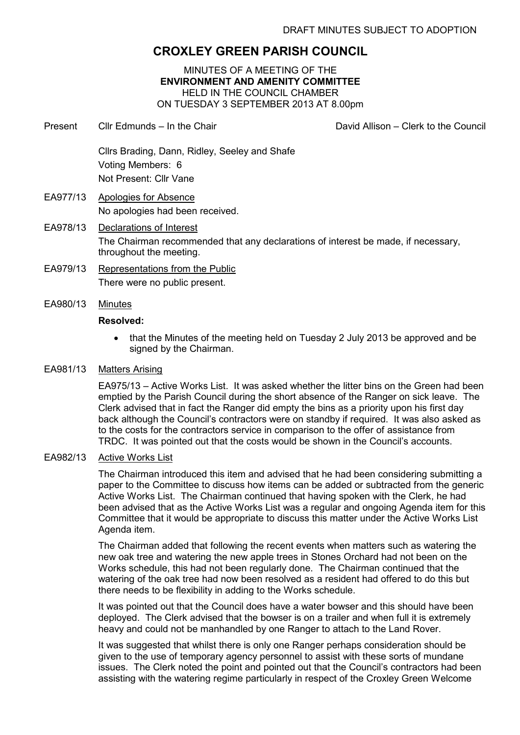# **CROXLEY GREEN PARISH COUNCIL**

MINUTES OF A MEETING OF THE **ENVIRONMENT AND AMENITY COMMITTEE**  HELD IN THE COUNCIL CHAMBER ON TUESDAY 3 SEPTEMBER 2013 AT 8.00pm

- Present Cllr Edmunds In the Chair David Allison Clerk to the Council Cllrs Brading, Dann, Ridley, Seeley and Shafe Voting Members: 6 Not Present: Cllr Vane EA977/13 Apologies for Absence No apologies had been received.
- EA978/13 Declarations of Interest The Chairman recommended that any declarations of interest be made, if necessary, throughout the meeting.
- EA979/13 Representations from the Public There were no public present.
- EA980/13 Minutes

## **Resolved:**

• that the Minutes of the meeting held on Tuesday 2 July 2013 be approved and be signed by the Chairman.

## EA981/13 Matters Arising

EA975/13 – Active Works List. It was asked whether the litter bins on the Green had been emptied by the Parish Council during the short absence of the Ranger on sick leave. The Clerk advised that in fact the Ranger did empty the bins as a priority upon his first day back although the Council's contractors were on standby if required. It was also asked as to the costs for the contractors service in comparison to the offer of assistance from TRDC. It was pointed out that the costs would be shown in the Council's accounts.

## EA982/13 Active Works List

The Chairman introduced this item and advised that he had been considering submitting a paper to the Committee to discuss how items can be added or subtracted from the generic Active Works List. The Chairman continued that having spoken with the Clerk, he had been advised that as the Active Works List was a regular and ongoing Agenda item for this Committee that it would be appropriate to discuss this matter under the Active Works List Agenda item.

The Chairman added that following the recent events when matters such as watering the new oak tree and watering the new apple trees in Stones Orchard had not been on the Works schedule, this had not been regularly done. The Chairman continued that the watering of the oak tree had now been resolved as a resident had offered to do this but there needs to be flexibility in adding to the Works schedule.

It was pointed out that the Council does have a water bowser and this should have been deployed. The Clerk advised that the bowser is on a trailer and when full it is extremely heavy and could not be manhandled by one Ranger to attach to the Land Rover.

It was suggested that whilst there is only one Ranger perhaps consideration should be given to the use of temporary agency personnel to assist with these sorts of mundane issues. The Clerk noted the point and pointed out that the Council's contractors had been assisting with the watering regime particularly in respect of the Croxley Green Welcome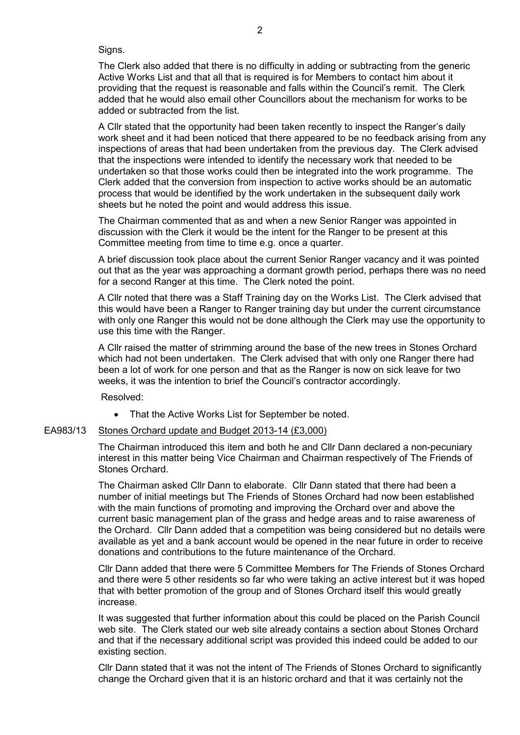Signs.

The Clerk also added that there is no difficulty in adding or subtracting from the generic Active Works List and that all that is required is for Members to contact him about it providing that the request is reasonable and falls within the Council's remit. The Clerk added that he would also email other Councillors about the mechanism for works to be added or subtracted from the list.

A Cllr stated that the opportunity had been taken recently to inspect the Ranger's daily work sheet and it had been noticed that there appeared to be no feedback arising from any inspections of areas that had been undertaken from the previous day. The Clerk advised that the inspections were intended to identify the necessary work that needed to be undertaken so that those works could then be integrated into the work programme. The Clerk added that the conversion from inspection to active works should be an automatic process that would be identified by the work undertaken in the subsequent daily work sheets but he noted the point and would address this issue.

The Chairman commented that as and when a new Senior Ranger was appointed in discussion with the Clerk it would be the intent for the Ranger to be present at this Committee meeting from time to time e.g. once a quarter.

A brief discussion took place about the current Senior Ranger vacancy and it was pointed out that as the year was approaching a dormant growth period, perhaps there was no need for a second Ranger at this time. The Clerk noted the point.

A Cllr noted that there was a Staff Training day on the Works List. The Clerk advised that this would have been a Ranger to Ranger training day but under the current circumstance with only one Ranger this would not be done although the Clerk may use the opportunity to use this time with the Ranger.

A Cllr raised the matter of strimming around the base of the new trees in Stones Orchard which had not been undertaken. The Clerk advised that with only one Ranger there had been a lot of work for one person and that as the Ranger is now on sick leave for two weeks, it was the intention to brief the Council's contractor accordingly.

Resolved:

• That the Active Works List for September be noted.

#### EA983/13 Stones Orchard update and Budget 2013-14 (£3,000)

The Chairman introduced this item and both he and Cllr Dann declared a non-pecuniary interest in this matter being Vice Chairman and Chairman respectively of The Friends of Stones Orchard.

The Chairman asked Cllr Dann to elaborate. Cllr Dann stated that there had been a number of initial meetings but The Friends of Stones Orchard had now been established with the main functions of promoting and improving the Orchard over and above the current basic management plan of the grass and hedge areas and to raise awareness of the Orchard. Cllr Dann added that a competition was being considered but no details were available as yet and a bank account would be opened in the near future in order to receive donations and contributions to the future maintenance of the Orchard.

Cllr Dann added that there were 5 Committee Members for The Friends of Stones Orchard and there were 5 other residents so far who were taking an active interest but it was hoped that with better promotion of the group and of Stones Orchard itself this would greatly increase.

It was suggested that further information about this could be placed on the Parish Council web site. The Clerk stated our web site already contains a section about Stones Orchard and that if the necessary additional script was provided this indeed could be added to our existing section.

Cllr Dann stated that it was not the intent of The Friends of Stones Orchard to significantly change the Orchard given that it is an historic orchard and that it was certainly not the